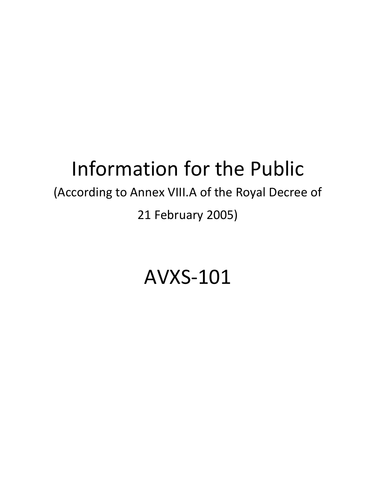# Information for the Public

# (According to Annex VIII.A of the Royal Decree of

21 February 2005)

# AVXS-101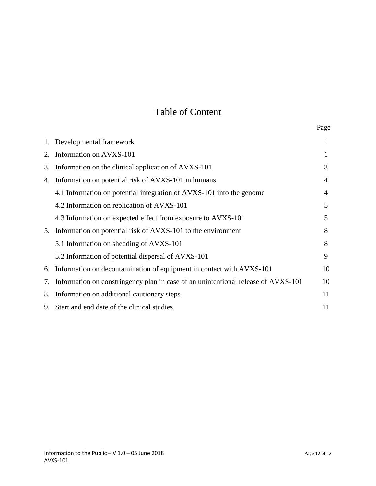# Table of Content

|    | 1. Developmental framework                                                        | 1              |
|----|-----------------------------------------------------------------------------------|----------------|
| 2. | Information on AVXS-101                                                           | 1              |
| 3. | Information on the clinical application of AVXS-101                               | 3              |
| 4. | Information on potential risk of AVXS-101 in humans                               | $\overline{4}$ |
|    | 4.1 Information on potential integration of AVXS-101 into the genome              | $\overline{4}$ |
|    | 4.2 Information on replication of AVXS-101                                        | 5              |
|    | 4.3 Information on expected effect from exposure to AVXS-101                      | 5              |
| 5. | Information on potential risk of AVXS-101 to the environment                      | 8              |
|    | 5.1 Information on shedding of AVXS-101                                           | 8              |
|    | 5.2 Information of potential dispersal of AVXS-101                                | 9              |
| 6. | Information on decontamination of equipment in contact with AVXS-101              | 10             |
| 7. | Information on constringency plan in case of an unintentional release of AVXS-101 | 10             |
| 8. | Information on additional cautionary steps                                        | 11             |
| 9. | Start and end date of the clinical studies                                        | 11             |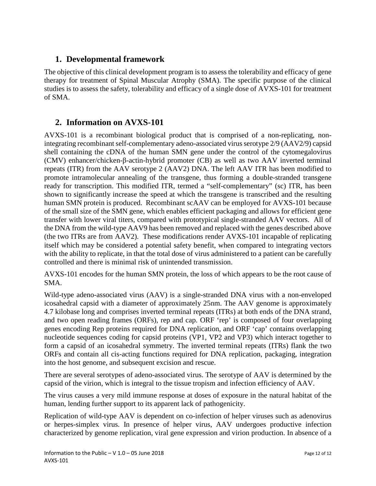# **1. Developmental framework**

The objective of this clinical development program is to assess the tolerability and efficacy of gene therapy for treatment of Spinal Muscular Atrophy (SMA). The specific purpose of the clinical studies is to assess the safety, tolerability and efficacy of a single dose of AVXS-101 for treatment of SMA.

# **2. Information on AVXS-101**

AVXS-101 is a recombinant biological product that is comprised of a non-replicating, nonintegrating recombinant self-complementary adeno-associated virus serotype 2/9 (AAV2/9) capsid shell containing the cDNA of the human SMN gene under the control of the cytomegalovirus (CMV) enhancer/chicken-β-actin-hybrid promoter (CB) as well as two AAV inverted terminal repeats (ITR) from the AAV serotype 2 (AAV2) DNA. The left AAV ITR has been modified to promote intramolecular annealing of the transgene, thus forming a double-stranded transgene ready for transcription. This modified ITR, termed a "self-complementary" (sc) ITR, has been shown to significantly increase the speed at which the transgene is transcribed and the resulting human SMN protein is produced. Recombinant scAAV can be employed for AVXS-101 because of the small size of the SMN gene, which enables efficient packaging and allows for efficient gene transfer with lower viral titers, compared with prototypical single-stranded AAV vectors. All of the DNA from the wild-type AAV9 has been removed and replaced with the genes described above (the two ITRs are from AAV2). These modifications render AVXS-101 incapable of replicating itself which may be considered a potential safety benefit, when compared to integrating vectors with the ability to replicate, in that the total dose of virus administered to a patient can be carefully controlled and there is minimal risk of unintended transmission.

AVXS-101 encodes for the human SMN protein, the loss of which appears to be the root cause of SMA.

Wild-type adeno-associated virus (AAV) is a single-stranded DNA virus with a non-enveloped icosahedral capsid with a diameter of approximately 25nm. The AAV genome is approximately 4.7 kilobase long and comprises inverted terminal repeats (ITRs) at both ends of the DNA strand, and two open reading frames (ORFs), rep and cap. ORF 'rep' is composed of four overlapping genes encoding Rep proteins required for DNA replication, and ORF 'cap' contains overlapping nucleotide sequences coding for capsid proteins (VP1, VP2 and VP3) which interact together to form a capsid of an icosahedral symmetry. The inverted terminal repeats (ITRs) flank the two ORFs and contain all cis-acting functions required for DNA replication, packaging, integration into the host genome, and subsequent excision and rescue.

There are several serotypes of adeno-associated virus. The serotype of AAV is determined by the capsid of the virion, which is integral to the tissue tropism and infection efficiency of AAV.

The virus causes a very mild immune response at doses of exposure in the natural habitat of the human, lending further support to its apparent lack of pathogenicity.

Replication of wild-type AAV is dependent on co-infection of helper viruses such as adenovirus or herpes-simplex virus. In presence of helper virus, AAV undergoes productive infection characterized by genome replication, viral gene expression and virion production. In absence of a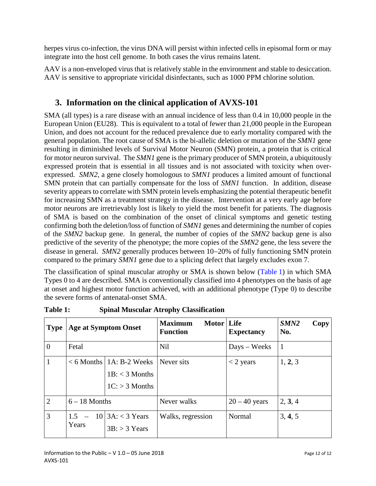herpes virus co-infection, the virus DNA will persist within infected cells in episomal form or may integrate into the host cell genome. In both cases the virus remains latent.

AAV is a non-enveloped virus that is relatively stable in the environment and stable to desiccation. AAV is sensitive to appropriate viricidal disinfectants, such as 1000 PPM chlorine solution.

# **3. Information on the clinical application of AVXS-101**

SMA (all types) is a rare disease with an annual incidence of less than 0.4 in 10,000 people in the European Union (EU28). This is equivalent to a total of fewer than 21,000 people in the European Union, and does not account for the reduced prevalence due to early mortality compared with the general population. The root cause of SMA is the bi-allelic deletion or mutation of the *SMN1* gene resulting in diminished levels of Survival Motor Neuron (SMN) protein, a protein that is critical for motor neuron survival. The *SMN1* gene is the primary producer of SMN protein, a ubiquitously expressed protein that is essential in all tissues and is not associated with toxicity when overexpressed. *SMN2*, a gene closely homologous to *SMN1* produces a limited amount of functional SMN protein that can partially compensate for the loss of *SMN1* function. In addition, disease severity appears to correlate with SMN protein levels emphasizing the potential therapeutic benefit for increasing SMN as a treatment strategy in the disease. Intervention at a very early age before motor neurons are irretrievably lost is likely to yield the most benefit for patients. The diagnosis of SMA is based on the combination of the onset of clinical symptoms and genetic testing confirming both the deletion/loss of function of *SMN1* genes and determining the number of copies of the *SMN2* backup gene. In general, the number of copies of the *SMN2* backup gene is also predictive of the severity of the phenotype; the more copies of the *SMN2* gene, the less severe the disease in general. *SMN2* generally produces between 10−20% of fully functioning SMN protein compared to the primary *SMN1* gene due to a splicing defect that largely excludes exon 7.

The classification of spinal muscular atrophy or SMA is shown below [\(Table](#page-3-0) 1) in which SMA Types 0 to 4 are described. SMA is conventionally classified into 4 phenotypes on the basis of age at onset and highest motor function achieved, with an additional phenotype (Type 0) to describe the severe forms of antenatal-onset SMA.

| <b>Type</b>    | <b>Age at Symptom Onset</b> |                                                                      | Motor   Life<br><b>Maximum</b><br><b>Function</b> | <b>Expectancy</b>     | SMN <sub>2</sub><br>Copy<br>No. |
|----------------|-----------------------------|----------------------------------------------------------------------|---------------------------------------------------|-----------------------|---------------------------------|
| $\overline{0}$ | Fetal                       |                                                                      | <b>Nil</b>                                        | $_{\rm Days}$ – Weeks | $\mathbf{1}$                    |
| $\mathbf{1}$   |                             | $< 6$ Months   1A: B-2 Weeks<br>$1B: < 3$ Months<br>$1C: > 3$ Months | Never sits                                        | $<$ 2 years           | 1, 2, 3                         |
| $\overline{2}$ | $6 - 18$ Months             |                                                                      | Never walks                                       | $20 - 40$ years       | 2, 3, 4                         |
| 3              | 1.5<br>Years                | $10 3A: < 3$ Years<br>$3B: > 3$ Years                                | Walks, regression                                 | Normal                | 3, 4, 5                         |

<span id="page-3-0"></span>**Table 1: Spinal Muscular Atrophy Classification**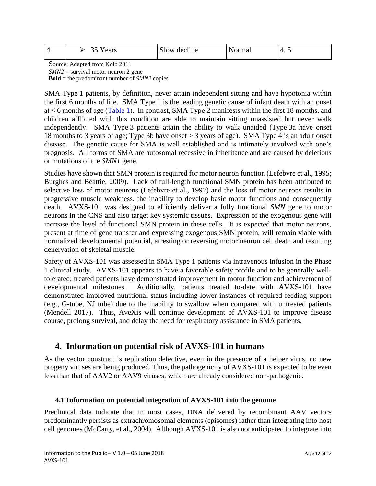|  | ears<br>◡~ | $\sim$ 1<br>decline<br>Slow |  | ັ<br>. . |  |
|--|------------|-----------------------------|--|----------|--|
|--|------------|-----------------------------|--|----------|--|

Source: Adapted from Kolb 2011

*SMN2* = survival motor neuron 2 gene

**Bold** = the predominant number of *SMN2* copies

SMA Type 1 patients, by definition, never attain independent sitting and have hypotonia within the first 6 months of life. SMA Type 1 is the leading genetic cause of infant death with an onset at  $\leq$  6 months of age [\(Table](#page-3-0) 1). In contrast, SMA Type 2 manifests within the first 18 months, and children afflicted with this condition are able to maintain sitting unassisted but never walk independently. SMA Type 3 patients attain the ability to walk unaided (Type 3a have onset 18 months to 3 years of age; Type 3b have onset > 3 years of age). SMA Type 4 is an adult onset disease. The genetic cause for SMA is well established and is intimately involved with one's prognosis. All forms of SMA are autosomal recessive in inheritance and are caused by deletions or mutations of the *SMN1* gene.

Studies have shown that SMN protein is required for motor neuron function (Lefebvre et al., 1995; Burghes and Beattie, 2009). Lack of full-length functional SMN protein has been attributed to selective loss of motor neurons (Lefebvre et al., 1997) and the loss of motor neurons results in progressive muscle weakness, the inability to develop basic motor functions and consequently death. AVXS-101 was designed to efficiently deliver a fully functional *SMN* gene to motor neurons in the CNS and also target key systemic tissues. Expression of the exogenous gene will increase the level of functional SMN protein in these cells. It is expected that motor neurons, present at time of gene transfer and expressing exogenous SMN protein, will remain viable with normalized developmental potential, arresting or reversing motor neuron cell death and resulting denervation of skeletal muscle.

Safety of AVXS-101 was assessed in SMA Type 1 patients via intravenous infusion in the Phase 1 clinical study. AVXS-101 appears to have a favorable safety profile and to be generally welltolerated; treated patients have demonstrated improvement in motor function and achievement of developmental milestones. Additionally, patients treated to-date with AVXS-101 have demonstrated improved nutritional status including lower instances of required feeding support (e.g., G-tube, NJ tube) due to the inability to swallow when compared with untreated patients (Mendell 2017). Thus, AveXis will continue development of AVXS-101 to improve disease course, prolong survival, and delay the need for respiratory assistance in SMA patients.

# **4. Information on potential risk of AVXS-101 in humans**

As the vector construct is replication defective, even in the presence of a helper virus, no new progeny viruses are being produced, Thus, the pathogenicity of AVXS-101 is expected to be even less than that of AAV2 or AAV9 viruses, which are already considered non-pathogenic.

#### **4.1 Information on potential integration of AVXS-101 into the genome**

Preclinical data indicate that in most cases, DNA delivered by recombinant AAV vectors predominantly persists as extrachromosomal elements (episomes) rather than integrating into host cell genomes (McCarty, et al., 2004). Although AVXS-101 is also not anticipated to integrate into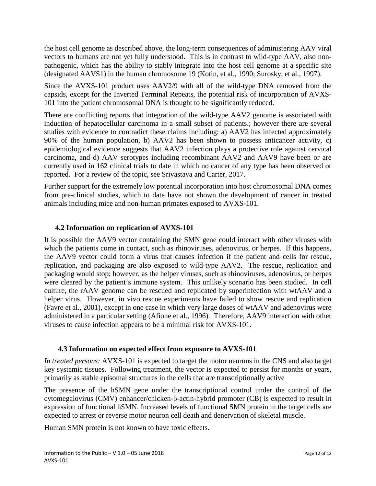the host cell genome as described above, the long-term consequences of administering AAV viral vectors to humans are not yet fully understood. This is in contrast to wild-type AAV, also nonpathogenic, which has the ability to stably integrate into the host cell genome at a specific site (designated AAVS1) in the human chromosome 19 (Kotin, et al., 1990; Surosky, et al., 1997).

Since the AVXS-101 product uses AAV2/9 with all of the wild-type DNA removed from the capsids, except for the Inverted Terminal Repeats, the potential risk of incorporation of AVXS-101 into the patient chromosomal DNA is thought to be significantly reduced.

There are conflicting reports that integration of the wild-type AAV2 genome is associated with induction of hepatocellular carcinoma in a small subset of patients.; however there are several studies with evidence to contradict these claims including; a) AAV2 has infected approximately 90% of the human population, b) AAV2 has been shown to possess anticancer activity, c) epidemiological evidence suggests that AAV2 infection plays a protective role against cervical carcinoma, and d) AAV serotypes including recombinant AAV2 and AAV9 have been or are currently used in 162 clinical trials to date in which no cancer of any type has been observed or reported. For a review of the topic, see Srivastava and Carter, 2017.

Further support for the extremely low potential incorporation into host chromosomal DNA comes from pre-clinical studies, which to date have not shown the development of cancer in treated animals including mice and non-human primates exposed to AVXS-101.

#### **4.2 Information on replication of AVXS-101**

It is possible the AAV9 vector containing the SMN gene could interact with other viruses with which the patients come in contact, such as rhinoviruses, adenovirus, or herpes. If this happens, the AAV9 vector could form a virus that causes infection if the patient and cells for rescue, replication, and packaging are also exposed to wild-type AAV2. The rescue, replication and packaging would stop; however, as the helper viruses, such as rhinoviruses, adenovirus, or herpes were cleared by the patient's immune system. This unlikely scenario has been studied. In cell culture, the rAAV genome can be rescued and replicated by superinfection with wtAAV and a helper virus. However, in vivo rescue experiments have failed to show rescue and replication (Favre et al., 2001), except in one case in which very large doses of wtAAV and adenovirus were administered in a particular setting (Afione et al., 1996). Therefore, AAV9 interaction with other viruses to cause infection appears to be a minimal risk for AVXS-101.

#### **4.3 Information on expected effect from exposure to AVXS-101**

*In treated persons:* AVXS-101 is expected to target the motor neurons in the CNS and also target key systemic tissues. Following treatment, the vector is expected to persist for months or years, primarily as stable episomal structures in the cells that are transcriptionally active

The presence of the hSMN gene under the transcriptional control under the control of the cytomegalovirus (CMV) enhancer/chicken-β-actin-hybrid promoter (CB) is expected to result in expression of functional hSMN. Increased levels of functional SMN protein in the target cells are expected to arrest or reverse motor neuron cell death and denervation of skeletal muscle.

Human SMN protein is not known to have toxic effects.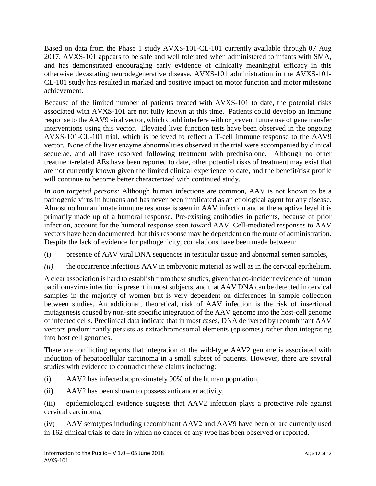Based on data from the Phase 1 study AVXS-101-CL-101 currently available through 07 Aug 2017, AVXS-101 appears to be safe and well tolerated when administered to infants with SMA, and has demonstrated encouraging early evidence of clinically meaningful efficacy in this otherwise devastating neurodegenerative disease. AVXS-101 administration in the AVXS-101- CL-101 study has resulted in marked and positive impact on motor function and motor milestone achievement.

Because of the limited number of patients treated with AVXS-101 to date, the potential risks associated with AVXS-101 are not fully known at this time. Patients could develop an immune response to the AAV9 viral vector, which could interfere with or prevent future use of gene transfer interventions using this vector. Elevated liver function tests have been observed in the ongoing AVXS-101-CL-101 trial, which is believed to reflect a T-cell immune response to the AAV9 vector. None of the liver enzyme abnormalities observed in the trial were accompanied by clinical sequelae, and all have resolved following treatment with prednisolone. Although no other treatment-related AEs have been reported to date, other potential risks of treatment may exist that are not currently known given the limited clinical experience to date, and the benefit/risk profile will continue to become better characterized with continued study.

*In non targeted persons:* Although human infections are common, AAV is not known to be a pathogenic virus in humans and has never been implicated as an etiological agent for any disease. Almost no human innate immune response is seen in AAV infection and at the adaptive level it is primarily made up of a humoral response. Pre-existing antibodies in patients, because of prior infection, account for the humoral response seen toward AAV. Cell-mediated responses to AAV vectors have been documented, but this response may be dependent on the route of administration. Despite the lack of evidence for pathogenicity, correlations have been made between:

- (i) presence of AAV viral DNA sequences in testicular tissue and abnormal semen samples,
- *(ii)* the occurrence infectious AAV in embryonic material as well as in the cervical epithelium.

A clear association is hard to establish from these studies, given that co-incident evidence of human papillomavirus infection is present in most subjects, and that AAV DNA can be detected in cervical samples in the majority of women but is very dependent on differences in sample collection between studies. An additional, theoretical, risk of AAV infection is the risk of insertional mutagenesis caused by non-site specific integration of the AAV genome into the host-cell genome of infected cells. Preclinical data indicate that in most cases, DNA delivered by recombinant AAV vectors predominantly persists as extrachromosomal elements (episomes) rather than integrating into host cell genomes.

There are conflicting reports that integration of the wild-type AAV2 genome is associated with induction of hepatocellular carcinoma in a small subset of patients. However, there are several studies with evidence to contradict these claims including:

- (i) AAV2 has infected approximately 90% of the human population,
- (ii) AAV2 has been shown to possess anticancer activity,

(iii) epidemiological evidence suggests that AAV2 infection plays a protective role against cervical carcinoma,

(iv) AAV serotypes including recombinant AAV2 and AAV9 have been or are currently used in 162 clinical trials to date in which no cancer of any type has been observed or reported.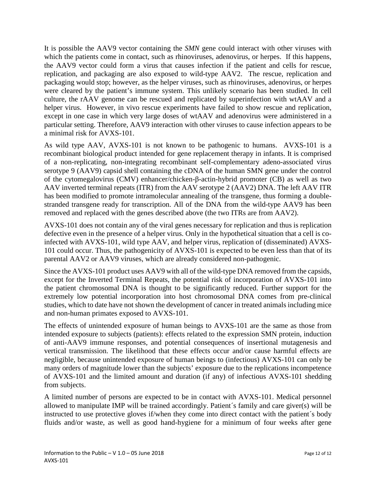It is possible the AAV9 vector containing the *SMN* gene could interact with other viruses with which the patients come in contact, such as rhinoviruses, adenovirus, or herpes. If this happens, the AAV9 vector could form a virus that causes infection if the patient and cells for rescue, replication, and packaging are also exposed to wild-type AAV2. The rescue, replication and packaging would stop; however, as the helper viruses, such as rhinoviruses, adenovirus, or herpes were cleared by the patient's immune system. This unlikely scenario has been studied. In cell culture, the rAAV genome can be rescued and replicated by superinfection with wtAAV and a helper virus. However, in vivo rescue experiments have failed to show rescue and replication, except in one case in which very large doses of wtAAV and adenovirus were administered in a particular setting. Therefore, AAV9 interaction with other viruses to cause infection appears to be a minimal risk for AVXS-101.

As wild type AAV, AVXS-101 is not known to be pathogenic to humans. AVXS-101 is a recombinant biological product intended for gene replacement therapy in infants. It is comprised of a non-replicating, non-integrating recombinant self-complementary adeno-associated virus serotype 9 (AAV9) capsid shell containing the cDNA of the human SMN gene under the control of the cytomegalovirus (CMV) enhancer/chicken-β-actin-hybrid promoter (CB) as well as two AAV inverted terminal repeats (ITR) from the AAV serotype 2 (AAV2) DNA. The left AAV ITR has been modified to promote intramolecular annealing of the transgene, thus forming a doublestranded transgene ready for transcription. All of the DNA from the wild-type AAV9 has been removed and replaced with the genes described above (the two ITRs are from AAV2).

AVXS-101 does not contain any of the viral genes necessary for replication and thus is replication defective even in the presence of a helper virus. Only in the hypothetical situation that a cell is coinfected with AVXS-101, wild type AAV, and helper virus, replication of (disseminated) AVXS-101 could occur. Thus, the pathogenicity of AVXS-101 is expected to be even less than that of its parental AAV2 or AAV9 viruses, which are already considered non-pathogenic.

Since the AVXS-101 product uses AAV9 with all of the wild-type DNA removed from the capsids, except for the Inverted Terminal Repeats, the potential risk of incorporation of AVXS-101 into the patient chromosomal DNA is thought to be significantly reduced. Further support for the extremely low potential incorporation into host chromosomal DNA comes from pre-clinical studies, which to date have not shown the development of cancer in treated animals including mice and non-human primates exposed to AVXS-101.

The effects of unintended exposure of human beings to AVXS-101 are the same as those from intended exposure to subjects (patients): effects related to the expression SMN protein, induction of anti-AAV9 immune responses, and potential consequences of insertional mutagenesis and vertical transmission. The likelihood that these effects occur and/or cause harmful effects are negligible, because unintended exposure of human beings to (infectious) AVXS-101 can only be many orders of magnitude lower than the subjects' exposure due to the replications incompetence of AVXS-101 and the limited amount and duration (if any) of infectious AVXS-101 shedding from subjects.

A limited number of persons are expected to be in contact with AVXS-101. Medical personnel allowed to manipulate IMP will be trained accordingly. Patient´s family and care giver(s) will be instructed to use protective gloves if/when they come into direct contact with the patient´s body fluids and/or waste, as well as good hand-hygiene for a minimum of four weeks after gene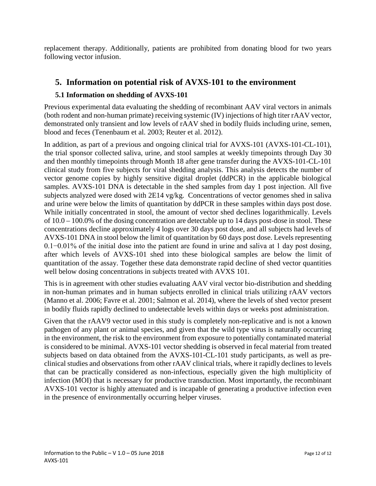replacement therapy. Additionally, patients are prohibited from donating blood for two years following vector infusion.

### **5. Information on potential risk of AVXS-101 to the environment**

#### **5.1 Information on shedding of AVXS-101**

Previous experimental data evaluating the shedding of recombinant AAV viral vectors in animals (both rodent and non-human primate) receiving systemic (IV) injections of high titer rAAV vector, demonstrated only transient and low levels of rAAV shed in bodily fluids including urine, semen, blood and feces (Tenenbaum et al. 2003; Reuter et al. 2012).

In addition, as part of a previous and ongoing clinical trial for AVXS-101 (AVXS-101-CL-101), the trial sponsor collected saliva, urine, and stool samples at weekly timepoints through Day 30 and then monthly timepoints through Month 18 after gene transfer during the AVXS-101-CL-101 clinical study from five subjects for viral shedding analysis. This analysis detects the number of vector genome copies by highly sensitive digital droplet (ddPCR) in the applicable biological samples. AVXS-101 DNA is detectable in the shed samples from day 1 post injection. All five subjects analyzed were dosed with 2E14 vg/kg. Concentrations of vector genomes shed in saliva and urine were below the limits of quantitation by ddPCR in these samples within days post dose. While initially concentrated in stool, the amount of vector shed declines logarithmically. Levels of 10.0 – 100.0% of the dosing concentration are detectable up to 14 days post-dose in stool. These concentrations decline approximately 4 logs over 30 days post dose, and all subjects had levels of AVXS-101 DNA in stool below the limit of quantitation by 60 days post dose. Levels representing 0.1−0.01% of the initial dose into the patient are found in urine and saliva at 1 day post dosing, after which levels of AVXS-101 shed into these biological samples are below the limit of quantitation of the assay. Together these data demonstrate rapid decline of shed vector quantities well below dosing concentrations in subjects treated with AVXS 101.

This is in agreement with other studies evaluating AAV viral vector bio-distribution and shedding in non-human primates and in human subjects enrolled in clinical trials utilizing rAAV vectors (Manno et al. 2006; Favre et al. 2001; Salmon et al. 2014), where the levels of shed vector present in bodily fluids rapidly declined to undetectable levels within days or weeks post administration.

Given that the rAAV9 vector used in this study is completely non-replicative and is not a known pathogen of any plant or animal species, and given that the wild type virus is naturally occurring in the environment, the risk to the environment from exposure to potentially contaminated material is considered to be minimal. AVXS-101 vector shedding is observed in fecal material from treated subjects based on data obtained from the AVXS-101-CL-101 study participants, as well as preclinical studies and observations from other rAAV clinical trials, where it rapidly declines to levels that can be practically considered as non-infectious, especially given the high multiplicity of infection (MOI) that is necessary for productive transduction. Most importantly, the recombinant AVXS-101 vector is highly attenuated and is incapable of generating a productive infection even in the presence of environmentally occurring helper viruses.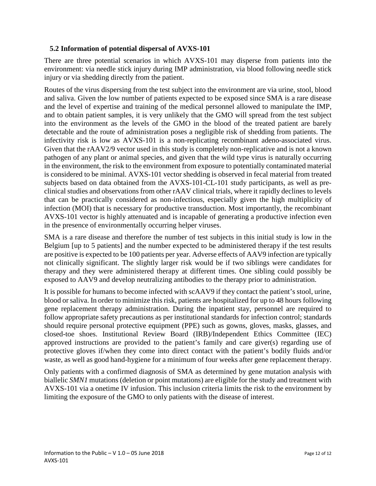#### **5.2 Information of potential dispersal of AVXS-101**

There are three potential scenarios in which AVXS-101 may disperse from patients into the environment: via needle stick injury during IMP administration, via blood following needle stick injury or via shedding directly from the patient.

Routes of the virus dispersing from the test subject into the environment are via urine, stool, blood and saliva. Given the low number of patients expected to be exposed since SMA is a rare disease and the level of expertise and training of the medical personnel allowed to manipulate the IMP, and to obtain patient samples, it is very unlikely that the GMO will spread from the test subject into the environment as the levels of the GMO in the blood of the treated patient are barely detectable and the route of administration poses a negligible risk of shedding from patients. The infectivity risk is low as AVXS-101 is a non-replicating recombinant adeno-associated virus. Given that the rAAV2/9 vector used in this study is completely non-replicative and is not a known pathogen of any plant or animal species, and given that the wild type virus is naturally occurring in the environment, the risk to the environment from exposure to potentially contaminated material is considered to be minimal. AVXS-101 vector shedding is observed in fecal material from treated subjects based on data obtained from the AVXS-101-CL-101 study participants, as well as preclinical studies and observations from other rAAV clinical trials, where it rapidly declines to levels that can be practically considered as non-infectious, especially given the high multiplicity of infection (MOI) that is necessary for productive transduction. Most importantly, the recombinant AVXS-101 vector is highly attenuated and is incapable of generating a productive infection even in the presence of environmentally occurring helper viruses.

SMA is a rare disease and therefore the number of test subjects in this initial study is low in the Belgium [up to 5 patients] and the number expected to be administered therapy if the test results are positive is expected to be 100 patients per year. Adverse effects of AAV9 infection are typically not clinically significant. The slightly larger risk would be if two siblings were candidates for therapy and they were administered therapy at different times. One sibling could possibly be exposed to AAV9 and develop neutralizing antibodies to the therapy prior to administration.

It is possible for humans to become infected with scAAV9 if they contact the patient's stool, urine, blood or saliva. In order to minimize this risk, patients are hospitalized for up to 48 hours following gene replacement therapy administration. During the inpatient stay, personnel are required to follow appropriate safety precautions as per institutional standards for infection control; standards should require personal protective equipment (PPE) such as gowns, gloves, masks, glasses, and closed-toe shoes. Institutional Review Board (IRB)/Independent Ethics Committee (IEC) approved instructions are provided to the patient's family and care giver(s) regarding use of protective gloves if/when they come into direct contact with the patient's bodily fluids and/or waste, as well as good hand-hygiene for a minimum of four weeks after gene replacement therapy.

Only patients with a confirmed diagnosis of SMA as determined by gene mutation analysis with biallelic *SMN1* mutations (deletion or point mutations) are eligible for the study and treatment with AVXS-101 via a onetime IV infusion. This inclusion criteria limits the risk to the environment by limiting the exposure of the GMO to only patients with the disease of interest.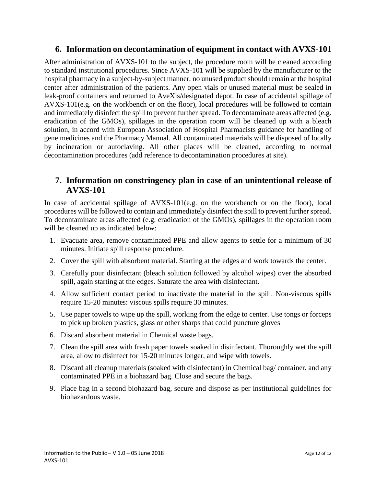#### **6. Information on decontamination of equipment in contact with AVXS-101**

After administration of AVXS-101 to the subject, the procedure room will be cleaned according to standard institutional procedures. Since AVXS-101 will be supplied by the manufacturer to the hospital pharmacy in a subject-by-subject manner, no unused product should remain at the hospital center after administration of the patients. Any open vials or unused material must be sealed in leak-proof containers and returned to AveXis/designated depot. In case of accidental spillage of AVXS-101(e.g. on the workbench or on the floor), local procedures will be followed to contain and immediately disinfect the spill to prevent further spread. To decontaminate areas affected (e.g. eradication of the GMOs), spillages in the operation room will be cleaned up with a bleach solution, in accord with European Association of Hospital Pharmacists guidance for handling of gene medicines and the Pharmacy Manual. All contaminated materials will be disposed of locally by incineration or autoclaving. All other places will be cleaned, according to normal decontamination procedures (add reference to decontamination procedures at site).

#### **7. Information on constringency plan in case of an unintentional release of AVXS-101**

In case of accidental spillage of AVXS-101(e.g. on the workbench or on the floor), local procedures will be followed to contain and immediately disinfect the spill to prevent further spread. To decontaminate areas affected (e.g. eradication of the GMOs), spillages in the operation room will be cleaned up as indicated below:

- 1. Evacuate area, remove contaminated PPE and allow agents to settle for a minimum of 30 minutes. Initiate spill response procedure.
- 2. Cover the spill with absorbent material. Starting at the edges and work towards the center.
- 3. Carefully pour disinfectant (bleach solution followed by alcohol wipes) over the absorbed spill, again starting at the edges. Saturate the area with disinfectant.
- 4. Allow sufficient contact period to inactivate the material in the spill. Non-viscous spills require 15-20 minutes: viscous spills require 30 minutes.
- 5. Use paper towels to wipe up the spill, working from the edge to center. Use tongs or forceps to pick up broken plastics, glass or other sharps that could puncture gloves
- 6. Discard absorbent material in Chemical waste bags.
- 7. Clean the spill area with fresh paper towels soaked in disinfectant. Thoroughly wet the spill area, allow to disinfect for 15-20 minutes longer, and wipe with towels.
- 8. Discard all cleanup materials (soaked with disinfectant) in Chemical bag/ container, and any contaminated PPE in a biohazard bag. Close and secure the bags.
- 9. Place bag in a second biohazard bag, secure and dispose as per institutional guidelines for biohazardous waste.